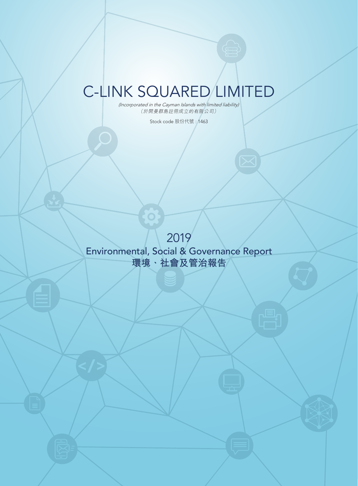# C-LINK SQUARED LIMITED

*(Incorporated in the Cayman Islands with limited liability)* (於開曼群島註冊成立的有限公司)

Stock code 股份代號 : 1463

2019 Environmental, Social & Governance Report **環境、社會及管治報告**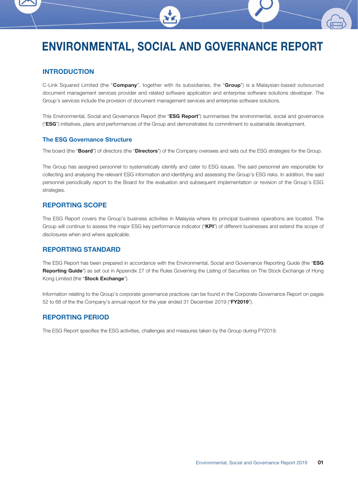# ENVIRONMENTAL, SOCIAL AND GOVERNANCE REPORT

# INTRODUCTION

C-Link Squared Limited (the "Company", together with its subsidiaries, the "Group") is a Malaysian-based outsourced document management services provider and related software application and enterprise software solutions developer. The Group's services include the provision of document management services and enterprise software solutions.

This Environmental, Social and Governance Report (the "ESG Report") summarises the environmental, social and governance ("ESG") initiatives, plans and performances of the Group and demonstrates its commitment to sustainable development.

#### The ESG Governance Structure

The board (the "Board") of directors (the "Directors") of the Company oversees and sets out the ESG strategies for the Group.

The Group has assigned personnel to systematically identify and cater to ESG issues. The said personnel are responsible for collecting and analysing the relevant ESG information and identifying and assessing the Group's ESG risks. In addition, the said personnel periodically report to the Board for the evaluation and subsequent implementation or revision of the Group's ESG strategies.

# REPORTING SCOPE

The ESG Report covers the Group's business activities in Malaysia where its principal business operations are located. The Group will continue to assess the major ESG key performance indicator ("KPI") of different businesses and extend the scope of disclosures when and where applicable.

# REPORTING STANDARD

The ESG Report has been prepared in accordance with the Environmental, Social and Governance Reporting Guide (the "ESG Reporting Guide") as set out in Appendix 27 of the Rules Governing the Listing of Securities on The Stock Exchange of Hong Kong Limited (the "Stock Exchange").

Information relating to the Group's corporate governance practices can be found in the Corporate Governance Report on pages 52 to 68 of the the Company's annual report for the year ended 31 December 2019 ("FY2019").

# REPORTING PERIOD

The ESG Report specifies the ESG activities, challenges and measures taken by the Group during FY2019.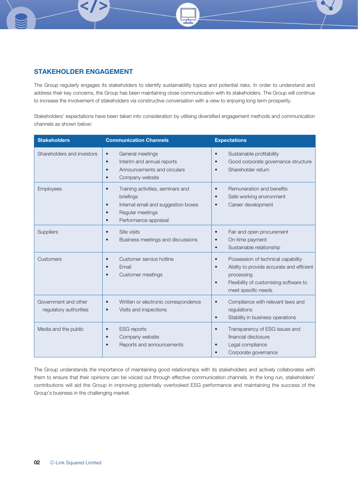# STAKEHOLDER ENGAGEMENT

The Group regularly engages its stakeholders to identify sustainability topics and potential risks. In order to understand and address their key concerns, the Group has been maintaining close communication with its stakeholders. The Group will continue to increase the involvement of stakeholders via constructive conversation with a view to enjoying long term prosperity.

Stakeholders' expectations have been taken into consideration by utilising diversified engagement methods and communication channels as shown below:

| <b>Stakeholders</b>                            | <b>Communication Channels</b>                                                                                                                                                          | <b>Expectations</b>                                                                                                                                                                                   |
|------------------------------------------------|----------------------------------------------------------------------------------------------------------------------------------------------------------------------------------------|-------------------------------------------------------------------------------------------------------------------------------------------------------------------------------------------------------|
| Shareholders and investors                     | General meetings<br>$\bullet$<br>Interim and annual reports<br>$\bullet$<br>Announcements and circulars<br>٠<br>Company website<br>$\bullet$                                           | Sustainable profitability<br>$\bullet$<br>Good corporate governance structure<br>Shareholder return                                                                                                   |
| Employees                                      | Training activities, seminars and<br>$\bullet$<br>briefings<br>Internal email and suggestion boxes<br>$\bullet$<br>Regular meetings<br>$\bullet$<br>Performance appraisal<br>$\bullet$ | Remuneration and benefits<br>$\bullet$<br>Safe working environment<br>$\bullet$<br>Career development<br>$\bullet$                                                                                    |
| Suppliers                                      | Site visits<br>$\bullet$<br>Business meetings and discussions<br>$\bullet$                                                                                                             | Fair and open procurement<br>$\bullet$<br>On-time payment<br>$\bullet$<br>Sustainable relationship<br>$\bullet$                                                                                       |
| Customers                                      | Customer service hotline<br>$\bullet$<br>Email<br>$\bullet$<br>Customer meetings                                                                                                       | Possession of technical capability<br>$\bullet$<br>Ability to provide accurate and efficient<br>$\bullet$<br>processing<br>Flexibility of customising software to<br>$\bullet$<br>meet specific needs |
| Government and other<br>regulatory authorities | Written or electronic correspondence<br>$\bullet$<br>Visits and inspections<br>$\bullet$                                                                                               | Compliance with relevant laws and<br>$\bullet$<br>regulations<br>Stability in business operations<br>$\bullet$                                                                                        |
| Media and the public                           | <b>ESG</b> reports<br>$\bullet$<br>Company website<br>$\bullet$<br>Reports and announcements                                                                                           | Transparency of ESG issues and<br>$\bullet$<br>financial disclosure<br>Legal compliance<br>Corporate governance                                                                                       |

The Group understands the importance of maintaining good relationships with its stakeholders and actively collaborates with them to ensure that their opinions can be voiced out through effective communication channels. In the long run, stakeholders' contributions will aid the Group in improving potentially overlooked ESG performance and maintaining the success of the Group's business in the challenging market.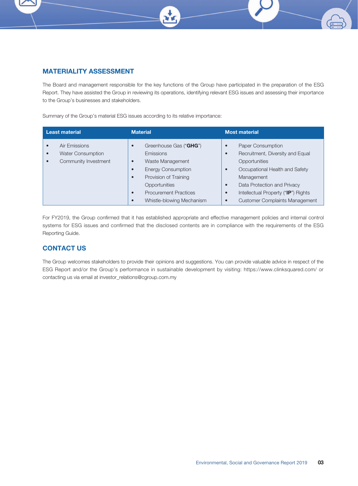

The Board and management responsible for the key functions of the Group have participated in the preparation of the ESG Report. They have assisted the Group in reviewing its operations, identifying relevant ESG issues and assessing their importance to the Group's businesses and stakeholders.

Summary of the Group's material ESG issues according to its relative importance:

| <b>Least material</b>                                                                                    | <b>Material</b>                                                                                                                                                                                                                                                     | <b>Most material</b>                                                                                                                                                                                                                                                                          |
|----------------------------------------------------------------------------------------------------------|---------------------------------------------------------------------------------------------------------------------------------------------------------------------------------------------------------------------------------------------------------------------|-----------------------------------------------------------------------------------------------------------------------------------------------------------------------------------------------------------------------------------------------------------------------------------------------|
| Air Emissions<br>$\bullet$<br><b>Water Consumption</b><br>$\bullet$<br>Community Investment<br>$\bullet$ | Greenhouse Gas ("GHG")<br>$\bullet$<br><b>Emissions</b><br>Waste Management<br>$\bullet$<br><b>Energy Consumption</b><br>$\bullet$<br>Provision of Training<br>$\bullet$<br>Opportunities<br><b>Procurement Practices</b><br>$\bullet$<br>Whistle-blowing Mechanism | <b>Paper Consumption</b><br>c<br>Recruitment, Diversity and Equal<br>Opportunities<br>Occupational Health and Safety<br>$\bullet$<br>Management<br>Data Protection and Privacy<br>$\bullet$<br>Intellectual Property ("IP") Rights<br>$\bullet$<br><b>Customer Complaints Management</b><br>c |

For FY2019, the Group confirmed that it has established appropriate and effective management policies and internal control systems for ESG issues and confirmed that the disclosed contents are in compliance with the requirements of the ESG Reporting Guide.

# CONTACT US

The Group welcomes stakeholders to provide their opinions and suggestions. You can provide valuable advice in respect of the ESG Report and/or the Group's performance in sustainable development by visiting: https://www.clinksquared.com/ or contacting us via email at investor\_relations@cgroup.com.my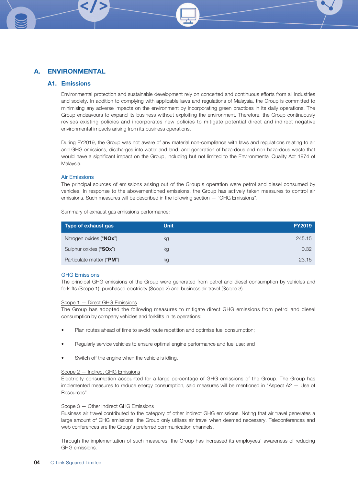## A1. Emissions

Environmental protection and sustainable development rely on concerted and continuous efforts from all industries and society. In addition to complying with applicable laws and regulations of Malaysia, the Group is committed to minimising any adverse impacts on the environment by incorporating green practices in its daily operations. The Group endeavours to expand its business without exploiting the environment. Therefore, the Group continuously revises existing policies and incorporates new policies to mitigate potential direct and indirect negative environmental impacts arising from its business operations.

During FY2019, the Group was not aware of any material non-compliance with laws and regulations relating to air and GHG emissions, discharges into water and land, and generation of hazardous and non-hazardous waste that would have a significant impact on the Group, including but not limited to the Environmental Quality Act 1974 of Malaysia.

#### Air Emissions

The principal sources of emissions arising out of the Group's operation were petrol and diesel consumed by vehicles. In response to the abovementioned emissions, the Group has actively taken measures to control air emissions. Such measures will be described in the following section — "GHG Emissions".

| Type of exhaust gas       | <b>Unit</b> | <b>FY2019</b> |
|---------------------------|-------------|---------------|
| Nitrogen oxides ("NOx")   | kg          | 245.15        |
| Sulphur oxides ("SOx")    | kg          | 0.32          |
| Particulate matter ("PM") | kg          | 23.15         |

Summary of exhaust gas emissions performance:

#### GHG Emissions

The principal GHG emissions of the Group were generated from petrol and diesel consumption by vehicles and forklifts (Scope 1), purchased electricity (Scope 2) and business air travel (Scope 3).

#### Scope 1 — Direct GHG Emissions

The Group has adopted the following measures to mitigate direct GHG emissions from petrol and diesel consumption by company vehicles and forklifts in its operations:

- Plan routes ahead of time to avoid route repetition and optimise fuel consumption;
- Regularly service vehicles to ensure optimal engine performance and fuel use; and
- Switch off the engine when the vehicle is idling.

#### Scope 2 — Indirect GHG Emissions

Electricity consumption accounted for a large percentage of GHG emissions of the Group. The Group has implemented measures to reduce energy consumption, said measures will be mentioned in "Aspect A2 — Use of Resources".

#### Scope 3 — Other Indirect GHG Emissions

Business air travel contributed to the category of other indirect GHG emissions. Noting that air travel generates a large amount of GHG emissions, the Group only utilises air travel when deemed necessary. Teleconferences and web conferences are the Group's preferred communication channels.

Through the implementation of such measures, the Group has increased its employees' awareness of reducing GHG emissions.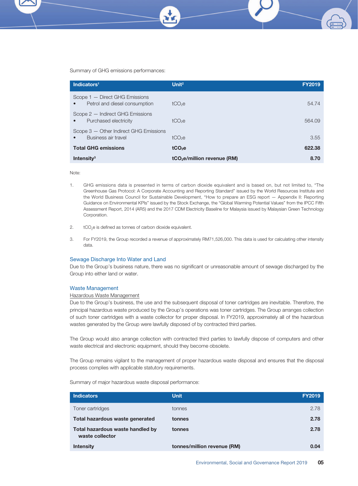Summary of GHG emissions performances:

| Indicators $1$                                                  | Unit <sup>2</sup>                       | <b>FY2019</b> |
|-----------------------------------------------------------------|-----------------------------------------|---------------|
| Scope 1 - Direct GHG Emissions<br>Petrol and diesel consumption | $tCO2$ e                                | 54.74         |
| Scope 2 - Indirect GHG Emissions<br>Purchased electricity       | $tCO2$ e                                | 564.09        |
| Scope 3 - Other Indirect GHG Emissions<br>Business air travel   | tCO <sub>2</sub> e                      | 3.55          |
| <b>Total GHG emissions</b>                                      | tCO <sub>2</sub> e                      | 622.38        |
| Intensity $3$                                                   | tCO <sub>2</sub> e/million revenue (RM) | 8.70          |

Note:

- 1. GHG emissions data is presented in terms of carbon dioxide equivalent and is based on, but not limited to, "The Greenhouse Gas Protocol: A Corporate Accounting and Reporting Standard" issued by the World Resources Institute and the World Business Council for Sustainable Development, "How to prepare an ESG report — Appendix II: Reporting Guidance on Environmental KPIs" issued by the Stock Exchange, the "Global Warming Potential Values" from the IPCC Fifth Assessment Report, 2014 (AR5) and the 2017 CDM Electricity Baseline for Malaysia issued by Malaysian Green Technology Corporation.
- 2.  $\text{tCO}_2$ e is defined as tonnes of carbon dioxide equivalent.
- 3. For FY2019, the Group recorded a revenue of approximately RM71,526,000. This data is used for calculating other intensity data.

#### Sewage Discharge Into Water and Land

Due to the Group's business nature, there was no significant or unreasonable amount of sewage discharged by the Group into either land or water.

#### Waste Management

#### Hazardous Waste Management

Due to the Group's business, the use and the subsequent disposal of toner cartridges are inevitable. Therefore, the principal hazardous waste produced by the Group's operations was toner cartridges. The Group arranges collection of such toner cartridges with a waste collector for proper disposal. In FY2019, approximately all of the hazardous wastes generated by the Group were lawfully disposed of by contracted third parties.

The Group would also arrange collection with contracted third parties to lawfully dispose of computers and other waste electrical and electronic equipment, should they become obsolete.

The Group remains vigilant to the management of proper hazardous waste disposal and ensures that the disposal process complies with applicable statutory requirements.

Summary of major hazardous waste disposal performance:

| <b>Indicators</b>                                   | <b>Unit</b>                 | <b>FY2019</b> |
|-----------------------------------------------------|-----------------------------|---------------|
| Toner cartridges                                    | tonnes                      | 2.78          |
| Total hazardous waste generated                     | tonnes                      | 2.78          |
| Total hazardous waste handled by<br>waste collector | tonnes                      | 2.78          |
| <b>Intensity</b>                                    | tonnes/million revenue (RM) | 0.04          |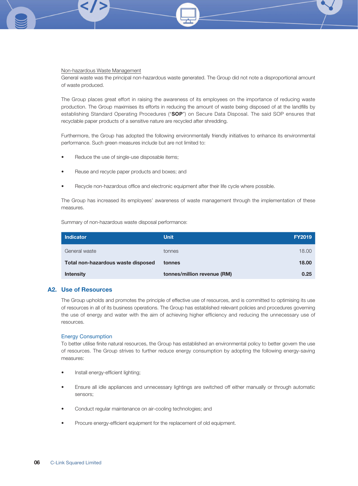#### Non-hazardous Waste Management

General waste was the principal non-hazardous waste generated. The Group did not note a disproportional amount of waste produced.

The Group places great effort in raising the awareness of its employees on the importance of reducing waste production. The Group maximises its efforts in reducing the amount of waste being disposed of at the landfills by establishing Standard Operating Procedures ("SOP") on Secure Data Disposal. The said SOP ensures that recyclable paper products of a sensitive nature are recycled after shredding.

Furthermore, the Group has adopted the following environmentally friendly initiatives to enhance its environmental performance. Such green measures include but are not limited to:

- Reduce the use of single-use disposable items;
- Reuse and recycle paper products and boxes; and
- Recycle non-hazardous office and electronic equipment after their life cycle where possible.

The Group has increased its employees' awareness of waste management through the implementation of these measures.

Summary of non-hazardous waste disposal performance:

| <b>Indicator</b>                   | <b>Unit</b>                 | <b>FY2019</b> |
|------------------------------------|-----------------------------|---------------|
| General waste                      | tonnes                      | 18.00         |
| Total non-hazardous waste disposed | tonnes                      | 18.00         |
| <b>Intensity</b>                   | tonnes/million revenue (RM) | 0.25          |

#### A2. Use of Resources

The Group upholds and promotes the principle of effective use of resources, and is committed to optimising its use of resources in all of its business operations. The Group has established relevant policies and procedures governing the use of energy and water with the aim of achieving higher efficiency and reducing the unnecessary use of resources.

#### Energy Consumption

To better utilise finite natural resources, the Group has established an environmental policy to better govern the use of resources. The Group strives to further reduce energy consumption by adopting the following energy-saving measures:

- Install energy-efficient lighting;
- Ensure all idle appliances and unnecessary lightings are switched off either manually or through automatic sensors;
- Conduct regular maintenance on air-cooling technologies; and
- Procure energy-efficient equipment for the replacement of old equipment.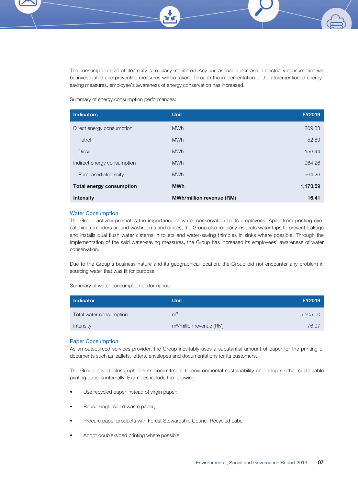The consumption level of electricity is regularly monitored. Any unreasonable increase in electricity consumption will be investigated and preventive measures will be taken. Through the implementation of the aforementioned energysaving measures, employee's awareness of energy conservation has increased.

Summary of energy consumption performances:

| <b>Indicators</b>               | <b>Unit</b>                     | <b>FY2019</b> |
|---------------------------------|---------------------------------|---------------|
| Direct energy consumption       | <b>MWh</b>                      | 209.33        |
| Petrol                          | <b>MWh</b>                      | 52.89         |
| <b>Diesel</b>                   | <b>MWh</b>                      | 156.44        |
| Indirect energy consumption     | <b>MWh</b>                      | 964.26        |
| Purchased electricity           | <b>MWh</b>                      | 964.26        |
| <b>Total energy consumption</b> | <b>MWh</b>                      | 1,173.59      |
| <b>Intensity</b>                | <b>MWh/million revenue (RM)</b> | 16.41         |

#### Water Consumption

The Group actively promotes the importance of water conservation to its employees. Apart from posting eyecatching reminders around washrooms and offices, the Group also regularly inspects water taps to prevent leakage and installs dual flush water cisterns in toilets and water-saving thimbles in sinks where possible. Through the implementation of the said water-saving measures, the Group has increased its employees' awareness of water conservation.

Due to the Group's business nature and its geographical location, the Group did not encounter any problem in sourcing water that was fit for purpose.

Summary of water consumption performance:

| <b>Indicator</b>        | <b>Unit</b>                          | <b>FY2019</b> |
|-------------------------|--------------------------------------|---------------|
| Total water consumption | m <sup>3</sup>                       | 5,505.00      |
| Intensity               | m <sup>3</sup> /million revenue (RM) | 76.97         |

#### Paper Consumption

As an outsourced services provider, the Group inevitably uses a substantial amount of paper for the printing of documents such as leaflets, letters, envelopes and documentations for its customers.

The Group nevertheless upholds its commitment to environmental sustainability and adopts other sustainable printing options internally. Examples include the following:

- Use recycled paper instead of virgin paper;
- Reuse single-sided waste paper;
- Procure paper products with Forest Stewardship Council Recycled Label;
- Adopt double-sided printing where possible.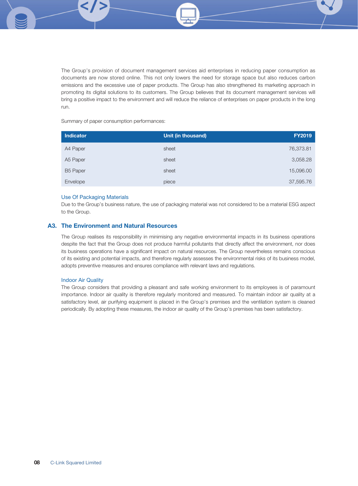The Group's provision of document management services aid enterprises in reducing paper consumption as documents are now stored online. This not only lowers the need for storage space but also reduces carbon emissions and the excessive use of paper products. The Group has also strengthened its marketing approach in promoting its digital solutions to its customers. The Group believes that its document management services will bring a positive impact to the environment and will reduce the reliance of enterprises on paper products in the long run.

Summary of paper consumption performances:

| <b>Indicator</b> | Unit (in thousand) | <b>FY2019</b> |
|------------------|--------------------|---------------|
| A4 Paper         | sheet              | 76,373.81     |
| A5 Paper         | sheet              | 3,058.28      |
| <b>B5 Paper</b>  | sheet              | 15,096.00     |
| Envelope         | piece              | 37,595.76     |

#### Use Of Packaging Materials

Due to the Group's business nature, the use of packaging material was not considered to be a material ESG aspect to the Group.

# A3. The Environment and Natural Resources

The Group realises its responsibility in minimising any negative environmental impacts in its business operations despite the fact that the Group does not produce harmful pollutants that directly affect the environment, nor does its business operations have a significant impact on natural resources. The Group nevertheless remains conscious of its existing and potential impacts, and therefore regularly assesses the environmental risks of its business model, adopts preventive measures and ensures compliance with relevant laws and regulations.

#### Indoor Air Quality

The Group considers that providing a pleasant and safe working environment to its employees is of paramount importance. Indoor air quality is therefore regularly monitored and measured. To maintain indoor air quality at a satisfactory level, air purifying equipment is placed in the Group's premises and the ventilation system is cleaned periodically. By adopting these measures, the indoor air quality of the Group's premises has been satisfactory.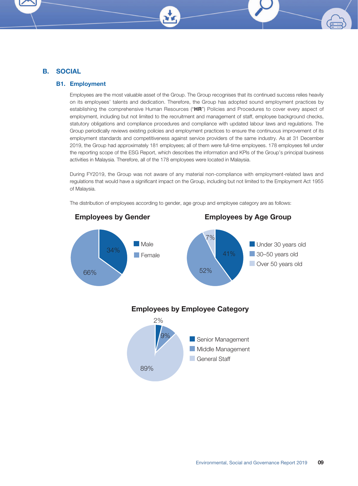# B. SOCIAL

#### B1. Employment

Employees are the most valuable asset of the Group. The Group recognises that its continued success relies heavily on its employees' talents and dedication. Therefore, the Group has adopted sound employment practices by establishing the comprehensive Human Resources ("HR") Policies and Procedures to cover every aspect of employment, including but not limited to the recruitment and management of staff, employee background checks, statutory obligations and compliance procedures and compliance with updated labour laws and regulations. The Group periodically reviews existing policies and employment practices to ensure the continuous improvement of its employment standards and competitiveness against service providers of the same industry. As at 31 December 2019, the Group had approximately 181 employees; all of them were full-time employees. 178 employees fell under the reporting scope of the ESG Report, which describes the information and KPIs of the Group's principal business activities in Malaysia. Therefore, all of the 178 employees were located in Malaysia.

During FY2019, the Group was not aware of any material non-compliance with employment-related laws and regulations that would have a significant impact on the Group, including but not limited to the Employment Act 1955 of Malaysia.

The distribution of employees according to gender, age group and employee category are as follows:

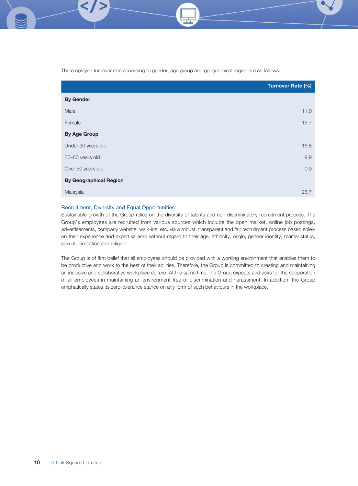The employee turnover rate according to gender, age group and geographical region are as follows:

|                               | <b>Turnover Rate (%)</b> |
|-------------------------------|--------------------------|
| <b>By Gender</b>              |                          |
| Male                          | 11.0                     |
| Female                        | 15.7                     |
| <b>By Age Group</b>           |                          |
| Under 30 years old            | 16.8                     |
| 30-50 years old               | 9.9                      |
| Over 50 years old             | 0.0                      |
| <b>By Geographical Region</b> |                          |
| Malaysia                      | 26.7                     |

#### Recruitment, Diversity and Equal Opportunities

Sustainable growth of the Group relies on the diversity of talents and non-discriminatory recruitment process. The Group's employees are recruited from various sources which include the open market, online job postings, advertisements, company website, walk-ins, etc. via a robust, transparent and fair recruitment process based solely on their experience and expertise an\d without regard to their age, ethnicity, origin, gender identity, marital status, sexual orientation and religion.

The Group is of firm belief that all employees should be provided with a working environment that enables them to be productive and work to the best of their abilities. Therefore, the Group is committed to creating and maintaining an inclusive and collaborative workplace culture. At the same time, the Group expects and asks for the cooperation of all employees in maintaining an environment free of discrimination and harassment. In addition, the Group emphatically states its zero-tolerance stance on any form of such behaviours in the workplace.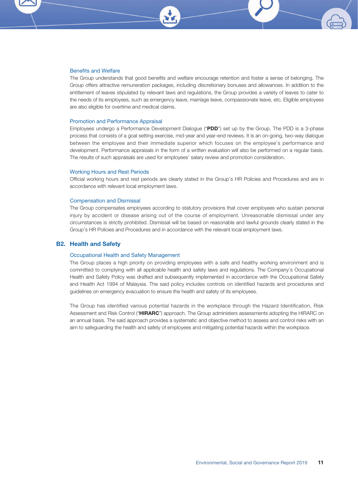

The Group understands that good benefits and welfare encourage retention and foster a sense of belonging. The Group offers attractive remuneration packages, including discretionary bonuses and allowances. In addition to the entitlement of leaves stipulated by relevant laws and regulations, the Group provides a variety of leaves to cater to the needs of its employees, such as emergency leave, marriage leave, compassionate leave, etc. Eligible employees are also eligible for overtime and medical claims.

#### Promotion and Performance Appraisal

Employees undergo a Performance Development Dialogue ("PDD") set up by the Group. The PDD is a 3-phase process that consists of a goal setting exercise, mid-year and year-end reviews. It is an on-going, two-way dialogue between the employee and their immediate superior which focuses on the employee's performance and development. Performance appraisals in the form of a written evaluation will also be performed on a regular basis. The results of such appraisals are used for employees' salary review and promotion consideration.

#### Working Hours and Rest Periods

Official working hours and rest periods are clearly stated in the Group's HR Policies and Procedures and are in accordance with relevant local employment laws.

#### Compensation and Dismissal

The Group compensates employees according to statutory provisions that cover employees who sustain personal injury by accident or disease arising out of the course of employment. Unreasonable dismissal under any circumstances is strictly prohibited. Dismissal will be based on reasonable and lawful grounds clearly stated in the Group's HR Policies and Procedures and in accordance with the relevant local employment laws.

#### B2. Health and Safety

#### Occupational Health and Safety Management

The Group places a high priority on providing employees with a safe and healthy working environment and is committed to complying with all applicable health and safety laws and regulations. The Company's Occupational Health and Safety Policy was drafted and subsequently implemented in accordance with the Occupational Safety and Health Act 1994 of Malaysia. The said policy includes controls on identified hazards and procedures and guidelines on emergency evacuation to ensure the health and safety of its employees.

The Group has identified various potential hazards in the workplace through the Hazard Identification, Risk Assessment and Risk Control ("HIRARC") approach. The Group administers assessments adopting the HIRARC on an annual basis. The said approach provides a systematic and objective method to assess and control risks with an aim to safeguarding the health and safety of employees and mitigating potential hazards within the workplace.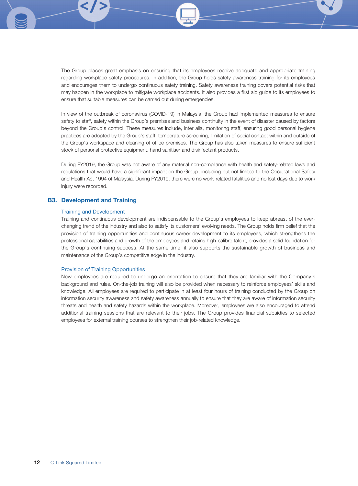The Group places great emphasis on ensuring that its employees receive adequate and appropriate training regarding workplace safety procedures. In addition, the Group holds safety awareness training for its employees and encourages them to undergo continuous safety training. Safety awareness training covers potential risks that may happen in the workplace to mitigate workplace accidents. It also provides a first aid guide to its employees to ensure that suitable measures can be carried out during emergencies.

In view of the outbreak of coronavirus (COVID-19) in Malaysia, the Group had implemented measures to ensure safety to staff, safety within the Group's premises and business continuity in the event of disaster caused by factors beyond the Group's control. These measures include, inter alia, monitoring staff, ensuring good personal hygiene practices are adopted by the Group's staff, temperature screening, limitation of social contact within and outside of the Group's workspace and cleaning of office premises. The Group has also taken measures to ensure sufficient stock of personal protective equipment, hand sanitiser and disinfectant products.

During FY2019, the Group was not aware of any material non-compliance with health and safety-related laws and regulations that would have a significant impact on the Group, including but not limited to the Occupational Safety and Health Act 1994 of Malaysia. During FY2019, there were no work-related fatalities and no lost days due to work injury were recorded.

#### B3. Development and Training

#### Training and Development

Training and continuous development are indispensable to the Group's employees to keep abreast of the everchanging trend of the industry and also to satisfy its customers' evolving needs. The Group holds firm belief that the provision of training opportunities and continuous career development to its employees, which strengthens the professional capabilities and growth of the employees and retains high-calibre talent, provides a solid foundation for the Group's continuing success. At the same time, it also supports the sustainable growth of business and maintenance of the Group's competitive edge in the industry.

#### Provision of Training Opportunities

New employees are required to undergo an orientation to ensure that they are familiar with the Company's background and rules. On-the-job training will also be provided when necessary to reinforce employees' skills and knowledge. All employees are required to participate in at least four hours of training conducted by the Group on information security awareness and safety awareness annually to ensure that they are aware of information security threats and health and safety hazards within the workplace. Moreover, employees are also encouraged to attend additional training sessions that are relevant to their jobs. The Group provides financial subsidies to selected employees for external training courses to strengthen their job-related knowledge.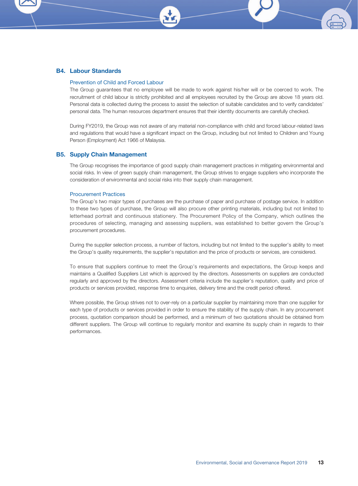#### B4. Labour Standards

#### Prevention of Child and Forced Labour

The Group guarantees that no employee will be made to work against his/her will or be coerced to work. The recruitment of child labour is strictly prohibited and all employees recruited by the Group are above 18 years old. Personal data is collected during the process to assist the selection of suitable candidates and to verify candidates' personal data. The human resources department ensures that their identity documents are carefully checked.

During FY2019, the Group was not aware of any material non-compliance with child and forced labour-related laws and regulations that would have a significant impact on the Group, including but not limited to Children and Young Person (Employment) Act 1966 of Malaysia.

#### B5. Supply Chain Management

The Group recognises the importance of good supply chain management practices in mitigating environmental and social risks. In view of green supply chain management, the Group strives to engage suppliers who incorporate the consideration of environmental and social risks into their supply chain management.

#### Procurement Practices

The Group's two major types of purchases are the purchase of paper and purchase of postage service. In addition to these two types of purchase, the Group will also procure other printing materials, including but not limited to letterhead portrait and continuous stationery. The Procurement Policy of the Company, which outlines the procedures of selecting, managing and assessing suppliers, was established to better govern the Group's procurement procedures.

During the supplier selection process, a number of factors, including but not limited to the supplier's ability to meet the Group's quality requirements, the supplier's reputation and the price of products or services, are considered.

To ensure that suppliers continue to meet the Group's requirements and expectations, the Group keeps and maintains a Qualified Suppliers List which is approved by the directors. Assessments on suppliers are conducted regularly and approved by the directors. Assessment criteria include the supplier's reputation, quality and price of products or services provided, response time to enquiries, delivery time and the credit period offered.

Where possible, the Group strives not to over-rely on a particular supplier by maintaining more than one supplier for each type of products or services provided in order to ensure the stability of the supply chain. In any procurement process, quotation comparison should be performed, and a minimum of two quotations should be obtained from different suppliers. The Group will continue to regularly monitor and examine its supply chain in regards to their performances.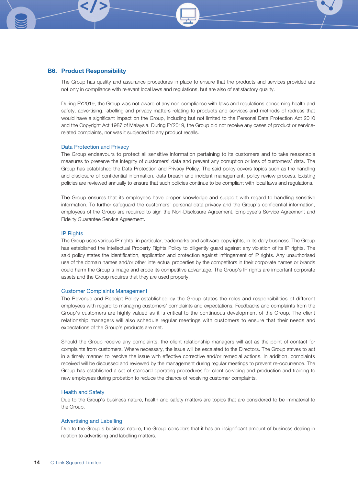#### B6. Product Responsibility

The Group has quality and assurance procedures in place to ensure that the products and services provided are not only in compliance with relevant local laws and regulations, but are also of satisfactory quality.

During FY2019, the Group was not aware of any non-compliance with laws and regulations concerning health and safety, advertising, labelling and privacy matters relating to products and services and methods of redress that would have a significant impact on the Group, including but not limited to the Personal Data Protection Act 2010 and the Copyright Act 1987 of Malaysia. During FY2019, the Group did not receive any cases of product or servicerelated complaints, nor was it subjected to any product recalls.

#### Data Protection and Privacy

The Group endeavours to protect all sensitive information pertaining to its customers and to take reasonable measures to preserve the integrity of customers' data and prevent any corruption or loss of customers' data. The Group has established the Data Protection and Privacy Policy. The said policy covers topics such as the handling and disclosure of confidential information, data breach and incident management, policy review process. Existing policies are reviewed annually to ensure that such policies continue to be compliant with local laws and regulations.

The Group ensures that its employees have proper knowledge and support with regard to handling sensitive information. To further safeguard the customers' personal data privacy and the Group's confidential information, employees of the Group are required to sign the Non-Disclosure Agreement, Employee's Service Agreement and Fidelity Guarantee Service Agreement.

#### IP Rights

The Group uses various IP rights, in particular, trademarks and software copyrights, in its daily business. The Group has established the Intellectual Property Rights Policy to diligently guard against any violation of its IP rights. The said policy states the identification, application and protection against infringement of IP rights. Any unauthorised use of the domain names and/or other intellectual properties by the competitors in their corporate names or brands could harm the Group's image and erode its competitive advantage. The Group's IP rights are important corporate assets and the Group requires that they are used properly.

#### Customer Complaints Management

The Revenue and Receipt Policy established by the Group states the roles and responsibilities of different employees with regard to managing customers' complaints and expectations. Feedbacks and complaints from the Group's customers are highly valued as it is critical to the continuous development of the Group. The client relationship managers will also schedule regular meetings with customers to ensure that their needs and expectations of the Group's products are met.

Should the Group receive any complaints, the client relationship managers will act as the point of contact for complaints from customers. Where necessary, the issue will be escalated to the Directors. The Group strives to act in a timely manner to resolve the issue with effective corrective and/or remedial actions. In addition, complaints received will be discussed and reviewed by the management during regular meetings to prevent re-occurrence. The Group has established a set of standard operating procedures for client servicing and production and training to new employees during probation to reduce the chance of receiving customer complaints.

#### Health and Safety

Due to the Group's business nature, health and safety matters are topics that are considered to be immaterial to the Group.

#### Advertising and Labelling

Due to the Group's business nature, the Group considers that it has an insignificant amount of business dealing in relation to advertising and labelling matters.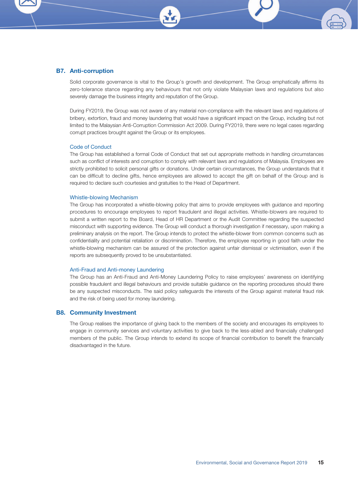### B7. Anti-corruption

Solid corporate governance is vital to the Group's growth and development. The Group emphatically affirms its zero-tolerance stance regarding any behaviours that not only violate Malaysian laws and regulations but also severely damage the business integrity and reputation of the Group.

During FY2019, the Group was not aware of any material non-compliance with the relevant laws and regulations of bribery, extortion, fraud and money laundering that would have a significant impact on the Group, including but not limited to the Malaysian Anti-Corruption Commission Act 2009. During FY2019, there were no legal cases regarding corrupt practices brought against the Group or its employees.

#### Code of Conduct

The Group has established a formal Code of Conduct that set out appropriate methods in handling circumstances such as conflict of interests and corruption to comply with relevant laws and regulations of Malaysia. Employees are strictly prohibited to solicit personal gifts or donations. Under certain circumstances, the Group understands that it can be difficult to decline gifts, hence employees are allowed to accept the gift on behalf of the Group and is required to declare such courtesies and gratuities to the Head of Department.

#### Whistle-blowing Mechanism

The Group has incorporated a whistle-blowing policy that aims to provide employees with guidance and reporting procedures to encourage employees to report fraudulent and illegal activities. Whistle-blowers are required to submit a written report to the Board, Head of HR Department or the Audit Committee regarding the suspected misconduct with supporting evidence. The Group will conduct a thorough investigation if necessary, upon making a preliminary analysis on the report. The Group intends to protect the whistle-blower from common concerns such as confidentiality and potential retaliation or discrimination. Therefore, the employee reporting in good faith under the whistle-blowing mechanism can be assured of the protection against unfair dismissal or victimisation, even if the reports are subsequently proved to be unsubstantiated.

#### Anti-Fraud and Anti-money Laundering

The Group has an Anti-Fraud and Anti-Money Laundering Policy to raise employees' awareness on identifying possible fraudulent and illegal behaviours and provide suitable guidance on the reporting procedures should there be any suspected misconducts. The said policy safeguards the interests of the Group against material fraud risk and the risk of being used for money laundering.

#### B8. Community Investment

The Group realises the importance of giving back to the members of the society and encourages its employees to engage in community services and voluntary activities to give back to the less-abled and financially challenged members of the public. The Group intends to extend its scope of financial contribution to benefit the financially disadvantaged in the future.